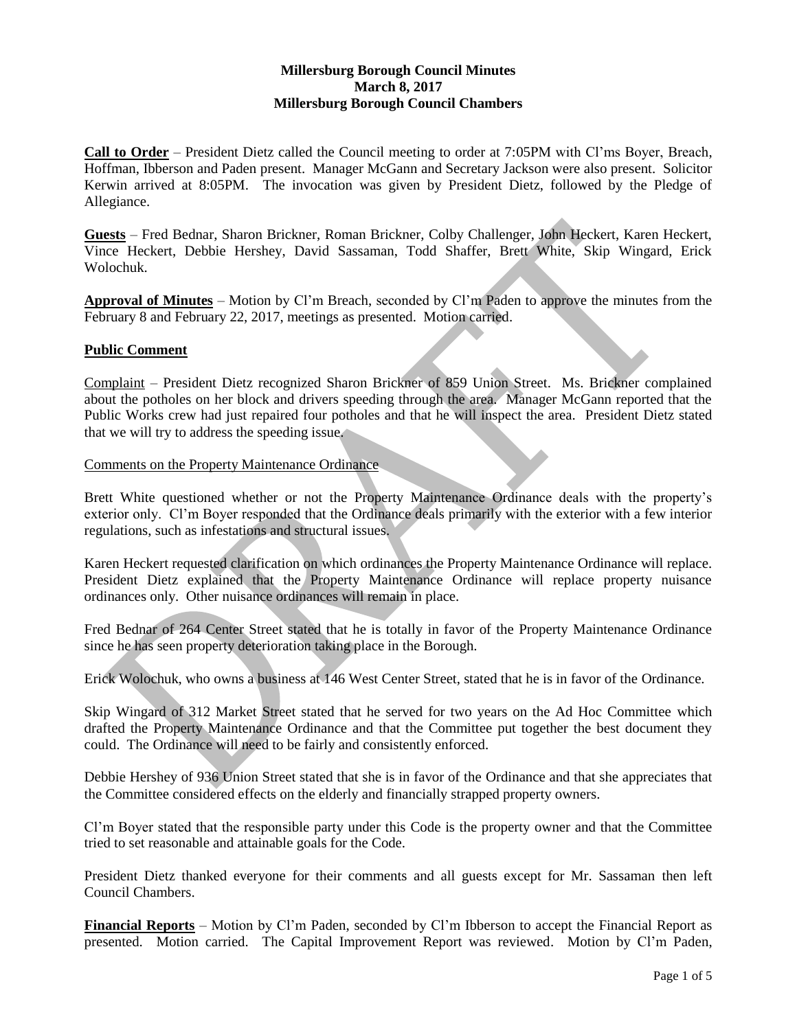# **Millersburg Borough Council Minutes March 8, 2017 Millersburg Borough Council Chambers**

**Call to Order** – President Dietz called the Council meeting to order at 7:05PM with Cl'ms Boyer, Breach, Hoffman, Ibberson and Paden present. Manager McGann and Secretary Jackson were also present. Solicitor Kerwin arrived at 8:05PM. The invocation was given by President Dietz, followed by the Pledge of Allegiance.

**Guests** – Fred Bednar, Sharon Brickner, Roman Brickner, Colby Challenger, John Heckert, Karen Heckert, Vince Heckert, Debbie Hershey, David Sassaman, Todd Shaffer, Brett White, Skip Wingard, Erick Wolochuk.

**Approval of Minutes** – Motion by Cl'm Breach, seconded by Cl'm Paden to approve the minutes from the February 8 and February 22, 2017, meetings as presented. Motion carried.

# **Public Comment**

Complaint – President Dietz recognized Sharon Brickner of 859 Union Street. Ms. Brickner complained about the potholes on her block and drivers speeding through the area. Manager McGann reported that the Public Works crew had just repaired four potholes and that he will inspect the area. President Dietz stated that we will try to address the speeding issue.

### Comments on the Property Maintenance Ordinance

Brett White questioned whether or not the Property Maintenance Ordinance deals with the property's exterior only. Cl'm Boyer responded that the Ordinance deals primarily with the exterior with a few interior regulations, such as infestations and structural issues.

Karen Heckert requested clarification on which ordinances the Property Maintenance Ordinance will replace. President Dietz explained that the Property Maintenance Ordinance will replace property nuisance ordinances only. Other nuisance ordinances will remain in place.

Fred Bednar of 264 Center Street stated that he is totally in favor of the Property Maintenance Ordinance since he has seen property deterioration taking place in the Borough.

Erick Wolochuk, who owns a business at 146 West Center Street, stated that he is in favor of the Ordinance.

Skip Wingard of 312 Market Street stated that he served for two years on the Ad Hoc Committee which drafted the Property Maintenance Ordinance and that the Committee put together the best document they could. The Ordinance will need to be fairly and consistently enforced.

Debbie Hershey of 936 Union Street stated that she is in favor of the Ordinance and that she appreciates that the Committee considered effects on the elderly and financially strapped property owners.

Cl'm Boyer stated that the responsible party under this Code is the property owner and that the Committee tried to set reasonable and attainable goals for the Code.

President Dietz thanked everyone for their comments and all guests except for Mr. Sassaman then left Council Chambers.

**Financial Reports** – Motion by Cl'm Paden, seconded by Cl'm Ibberson to accept the Financial Report as presented. Motion carried. The Capital Improvement Report was reviewed. Motion by Cl'm Paden,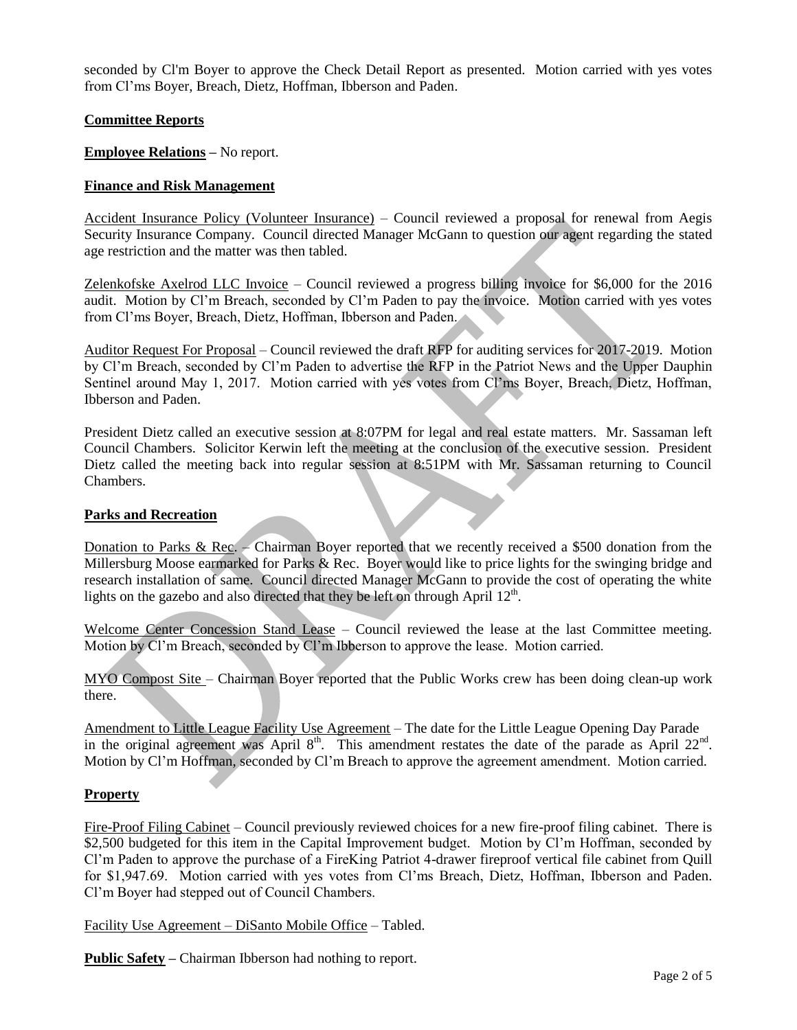seconded by Cl'm Boyer to approve the Check Detail Report as presented. Motion carried with yes votes from Cl'ms Boyer, Breach, Dietz, Hoffman, Ibberson and Paden.

# **Committee Reports**

**Employee Relations –** No report.

## **Finance and Risk Management**

Accident Insurance Policy (Volunteer Insurance) – Council reviewed a proposal for renewal from Aegis Security Insurance Company. Council directed Manager McGann to question our agent regarding the stated age restriction and the matter was then tabled.

Zelenkofske Axelrod LLC Invoice – Council reviewed a progress billing invoice for \$6,000 for the 2016 audit. Motion by Cl'm Breach, seconded by Cl'm Paden to pay the invoice. Motion carried with yes votes from Cl'ms Boyer, Breach, Dietz, Hoffman, Ibberson and Paden.

Auditor Request For Proposal – Council reviewed the draft RFP for auditing services for 2017-2019. Motion by Cl'm Breach, seconded by Cl'm Paden to advertise the RFP in the Patriot News and the Upper Dauphin Sentinel around May 1, 2017. Motion carried with yes votes from Cl'ms Boyer, Breach, Dietz, Hoffman, Ibberson and Paden.

President Dietz called an executive session at 8:07PM for legal and real estate matters. Mr. Sassaman left Council Chambers. Solicitor Kerwin left the meeting at the conclusion of the executive session. President Dietz called the meeting back into regular session at 8:51PM with Mr. Sassaman returning to Council Chambers.

### **Parks and Recreation**

Donation to Parks & Rec. – Chairman Boyer reported that we recently received a \$500 donation from the Millersburg Moose earmarked for Parks & Rec. Boyer would like to price lights for the swinging bridge and research installation of same. Council directed Manager McGann to provide the cost of operating the white lights on the gazebo and also directed that they be left on through April  $12<sup>th</sup>$ .

Welcome Center Concession Stand Lease – Council reviewed the lease at the last Committee meeting. Motion by Cl'm Breach, seconded by Cl'm Ibberson to approve the lease. Motion carried.

MYO Compost Site - Chairman Boyer reported that the Public Works crew has been doing clean-up work there.

Amendment to Little League Facility Use Agreement – The date for the Little League Opening Day Parade in the original agreement was April  $8<sup>th</sup>$ . This amendment restates the date of the parade as April  $22<sup>nd</sup>$ . Motion by Cl'm Hoffman, seconded by Cl'm Breach to approve the agreement amendment. Motion carried.

# **Property**

Fire-Proof Filing Cabinet – Council previously reviewed choices for a new fire-proof filing cabinet. There is \$2,500 budgeted for this item in the Capital Improvement budget. Motion by Cl'm Hoffman, seconded by Cl'm Paden to approve the purchase of a FireKing Patriot 4-drawer fireproof vertical file cabinet from Quill for \$1,947.69. Motion carried with yes votes from Cl'ms Breach, Dietz, Hoffman, Ibberson and Paden. Cl'm Boyer had stepped out of Council Chambers.

Facility Use Agreement – DiSanto Mobile Office – Tabled.

**Public Safety –** Chairman Ibberson had nothing to report.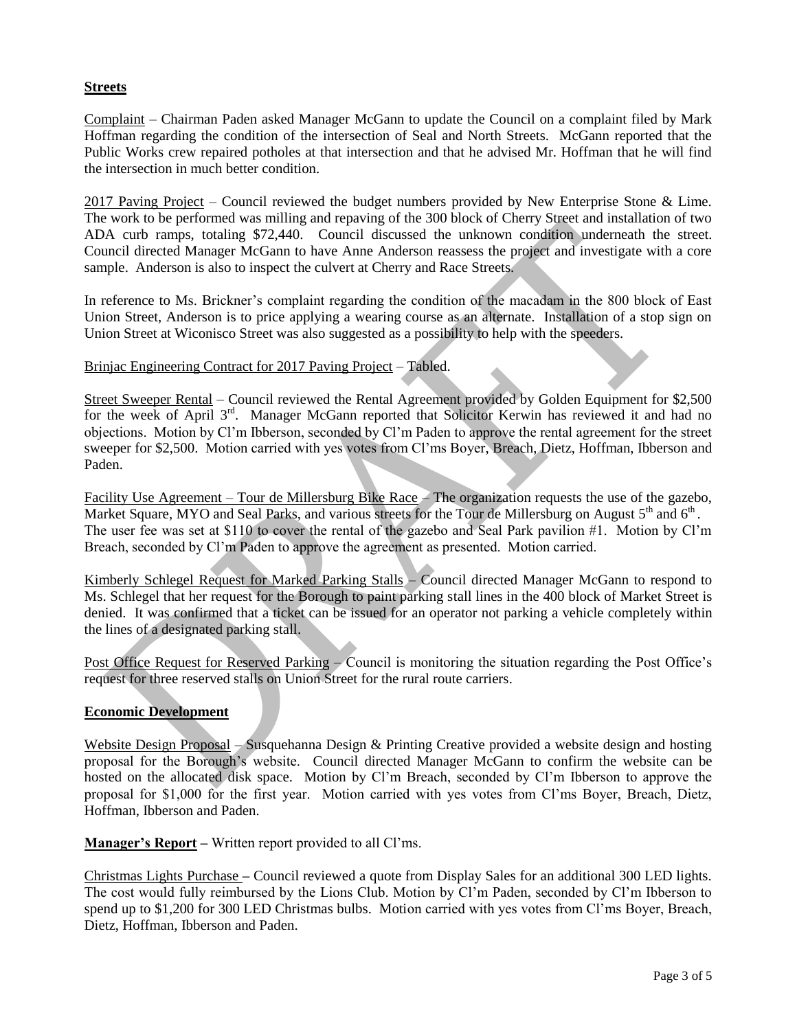# **Streets**

Complaint – Chairman Paden asked Manager McGann to update the Council on a complaint filed by Mark Hoffman regarding the condition of the intersection of Seal and North Streets. McGann reported that the Public Works crew repaired potholes at that intersection and that he advised Mr. Hoffman that he will find the intersection in much better condition.

2017 Paving Project – Council reviewed the budget numbers provided by New Enterprise Stone & Lime. The work to be performed was milling and repaving of the 300 block of Cherry Street and installation of two ADA curb ramps, totaling \$72,440. Council discussed the unknown condition underneath the street. Council directed Manager McGann to have Anne Anderson reassess the project and investigate with a core sample. Anderson is also to inspect the culvert at Cherry and Race Streets.

In reference to Ms. Brickner's complaint regarding the condition of the macadam in the 800 block of East Union Street, Anderson is to price applying a wearing course as an alternate. Installation of a stop sign on Union Street at Wiconisco Street was also suggested as a possibility to help with the speeders.

# Brinjac Engineering Contract for 2017 Paving Project – Tabled.

Street Sweeper Rental – Council reviewed the Rental Agreement provided by Golden Equipment for \$2,500 for the week of April 3<sup>rd</sup>. Manager McGann reported that Solicitor Kerwin has reviewed it and had no objections. Motion by Cl'm Ibberson, seconded by Cl'm Paden to approve the rental agreement for the street sweeper for \$2,500. Motion carried with yes votes from Cl'ms Boyer, Breach, Dietz, Hoffman, Ibberson and Paden.

Facility Use Agreement – Tour de Millersburg Bike Race – The organization requests the use of the gazebo, Market Square, MYO and Seal Parks, and various streets for the Tour de Millersburg on August 5<sup>th</sup> and 6<sup>th</sup>. The user fee was set at \$110 to cover the rental of the gazebo and Seal Park pavilion #1. Motion by Cl'm Breach, seconded by Cl'm Paden to approve the agreement as presented. Motion carried.

Kimberly Schlegel Request for Marked Parking Stalls – Council directed Manager McGann to respond to Ms. Schlegel that her request for the Borough to paint parking stall lines in the 400 block of Market Street is denied. It was confirmed that a ticket can be issued for an operator not parking a vehicle completely within the lines of a designated parking stall.

Post Office Request for Reserved Parking – Council is monitoring the situation regarding the Post Office's request for three reserved stalls on Union Street for the rural route carriers.

# **Economic Development**

Website Design Proposal – Susquehanna Design & Printing Creative provided a website design and hosting proposal for the Borough's website. Council directed Manager McGann to confirm the website can be hosted on the allocated disk space. Motion by Cl'm Breach, seconded by Cl'm Ibberson to approve the proposal for \$1,000 for the first year. Motion carried with yes votes from Cl'ms Boyer, Breach, Dietz, Hoffman, Ibberson and Paden.

**Manager's Report –** Written report provided to all Cl'ms.

Christmas Lights Purchase **–** Council reviewed a quote from Display Sales for an additional 300 LED lights. The cost would fully reimbursed by the Lions Club. Motion by Cl'm Paden, seconded by Cl'm Ibberson to spend up to \$1,200 for 300 LED Christmas bulbs. Motion carried with yes votes from Cl'ms Boyer, Breach, Dietz, Hoffman, Ibberson and Paden.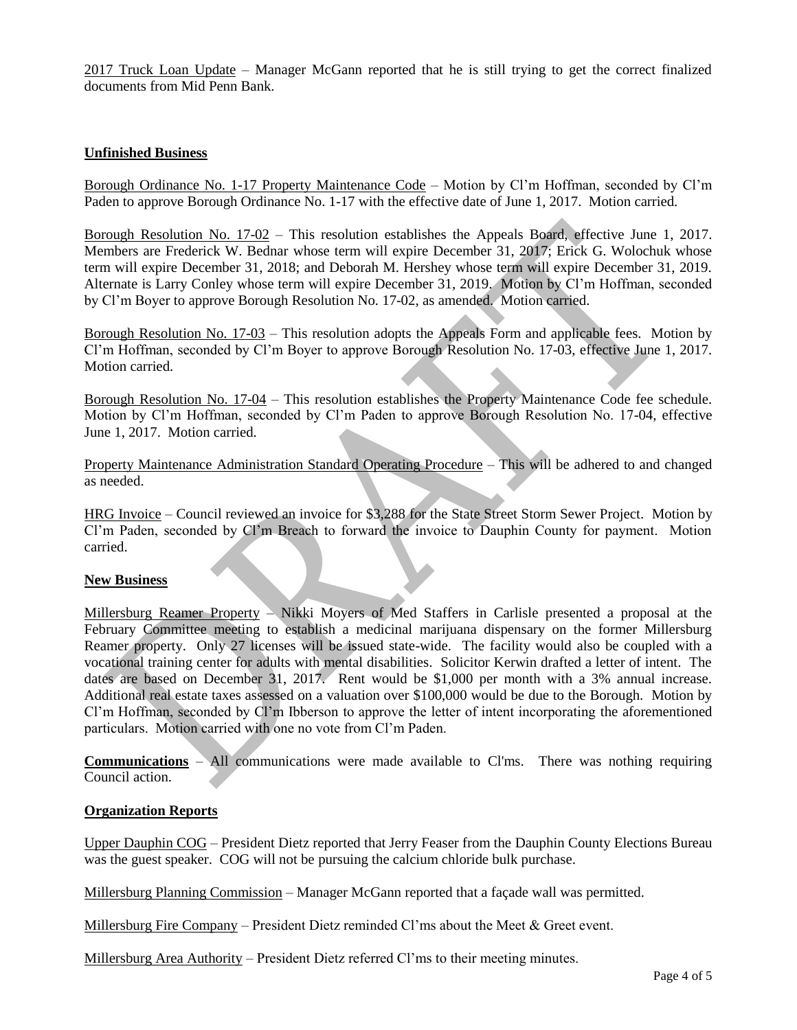2017 Truck Loan Update – Manager McGann reported that he is still trying to get the correct finalized documents from Mid Penn Bank.

## **Unfinished Business**

Borough Ordinance No. 1-17 Property Maintenance Code – Motion by Cl'm Hoffman, seconded by Cl'm Paden to approve Borough Ordinance No. 1-17 with the effective date of June 1, 2017. Motion carried.

Borough Resolution No. 17-02 – This resolution establishes the Appeals Board, effective June 1, 2017. Members are Frederick W. Bednar whose term will expire December 31, 2017; Erick G. Wolochuk whose term will expire December 31, 2018; and Deborah M. Hershey whose term will expire December 31, 2019. Alternate is Larry Conley whose term will expire December 31, 2019. Motion by Cl'm Hoffman, seconded by Cl'm Boyer to approve Borough Resolution No. 17-02, as amended. Motion carried.

Borough Resolution No. 17-03 – This resolution adopts the Appeals Form and applicable fees.Motion by Cl'm Hoffman, seconded by Cl'm Boyer to approve Borough Resolution No. 17-03, effective June 1, 2017. Motion carried.

Borough Resolution No. 17-04 – This resolution establishes the Property Maintenance Code fee schedule. Motion by Cl'm Hoffman, seconded by Cl'm Paden to approve Borough Resolution No. 17-04, effective June 1, 2017. Motion carried.

Property Maintenance Administration Standard Operating Procedure – This will be adhered to and changed as needed.

HRG Invoice – Council reviewed an invoice for \$3,288 for the State Street Storm Sewer Project. Motion by Cl'm Paden, seconded by Cl'm Breach to forward the invoice to Dauphin County for payment. Motion carried.

### **New Business**

Millersburg Reamer Property – Nikki Moyers of Med Staffers in Carlisle presented a proposal at the February Committee meeting to establish a medicinal marijuana dispensary on the former Millersburg Reamer property. Only 27 licenses will be issued state-wide. The facility would also be coupled with a vocational training center for adults with mental disabilities. Solicitor Kerwin drafted a letter of intent. The dates are based on December 31, 2017. Rent would be \$1,000 per month with a 3% annual increase. Additional real estate taxes assessed on a valuation over \$100,000 would be due to the Borough. Motion by Cl'm Hoffman, seconded by Cl'm Ibberson to approve the letter of intent incorporating the aforementioned particulars. Motion carried with one no vote from Cl'm Paden.

**Communications** – All communications were made available to Cl'ms. There was nothing requiring Council action.

### **Organization Reports**

Upper Dauphin COG – President Dietz reported that Jerry Feaser from the Dauphin County Elections Bureau was the guest speaker. COG will not be pursuing the calcium chloride bulk purchase.

Millersburg Planning Commission – Manager McGann reported that a façade wall was permitted.

Millersburg Fire Company – President Dietz reminded Cl'ms about the Meet  $\&$  Greet event.

Millersburg Area Authority – President Dietz referred Cl'ms to their meeting minutes.